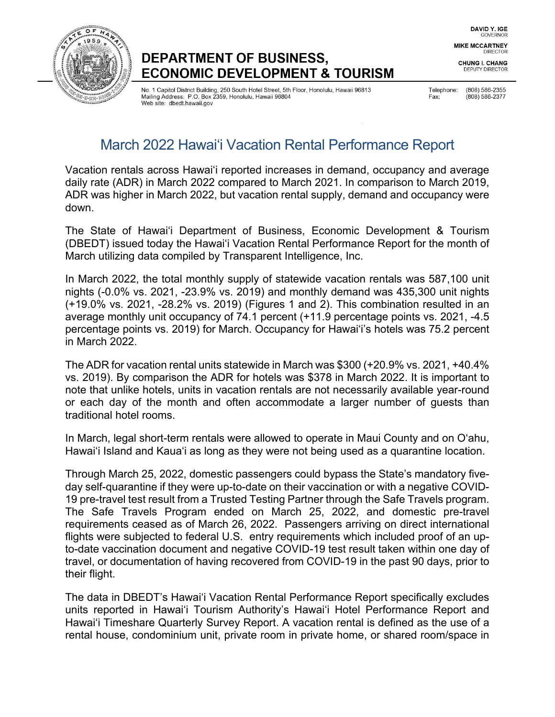

## DEPARTMENT OF BUSINESS, **ECONOMIC DEVELOPMENT & TOURISM**

No. 1 Capitol District Building, 250 South Hotel Street, 5th Floor, Honolulu, Hawaii 96813 Mailing Address: P.O. Box 2359, Honolulu, Hawaii 96804 Web site: dbedt.hawaii.gov

Telephone: (808) 586-2355 Fax:

(808) 586-2377

# March 2022 Hawai'i Vacation Rental Performance Report

Vacation rentals across Hawaiʻi reported increases in demand, occupancy and average daily rate (ADR) in March 2022 compared to March 2021. In comparison to March 2019, ADR was higher in March 2022, but vacation rental supply, demand and occupancy were down.

The State of Hawai'i Department of Business, Economic Development & Tourism (DBEDT) issued today the Hawai'i Vacation Rental Performance Report for the month of March utilizing data compiled by Transparent Intelligence, Inc.

In March 2022, the total monthly supply of statewide vacation rentals was 587,100 unit nights (-0.0% vs. 2021, -23.9% vs. 2019) and monthly demand was 435,300 unit nights (+19.0% vs. 2021, -28.2% vs. 2019) (Figures 1 and 2). This combination resulted in an average monthly unit occupancy of 74.1 percent (+11.9 percentage points vs. 2021, -4.5 percentage points vs. 2019) for March. Occupancy for Hawai'i's hotels was 75.2 percent in March 2022.

The ADR for vacation rental units statewide in March was \$300 (+20.9% vs. 2021, +40.4% vs. 2019). By comparison the ADR for hotels was \$378 in March 2022. It is important to note that unlike hotels, units in vacation rentals are not necessarily available year-round or each day of the month and often accommodate a larger number of guests than traditional hotel rooms.

In March, legal short-term rentals were allowed to operate in Maui County and on O'ahu, Hawai'i Island and Kaua'i as long as they were not being used as a quarantine location.

Through March 25, 2022, domestic passengers could bypass the State's mandatory fiveday self-quarantine if they were up-to-date on their vaccination or with a negative COVID-19 pre-travel test result from a Trusted Testing Partner through the Safe Travels program. The Safe Travels Program ended on March 25, 2022, and domestic pre-travel requirements ceased as of March 26, 2022. Passengers arriving on direct international flights were subjected to federal U.S. entry requirements which included proof of an upto-date vaccination document and negative COVID-19 test result taken within one day of travel, or documentation of having recovered from COVID-19 in the past 90 days, prior to their flight.

The data in DBEDT's Hawai'i Vacation Rental Performance Report specifically excludes units reported in Hawai'i Tourism Authority's Hawai'i Hotel Performance Report and Hawai'i Timeshare Quarterly Survey Report. A vacation rental is defined as the use of a rental house, condominium unit, private room in private home, or shared room/space in

DAVID Y. IGE GOVERNOR

**MIKE MCCARTNEY DIRECTOR** 

**CHUNG I. CHANG DEPUTY DIRECTOR**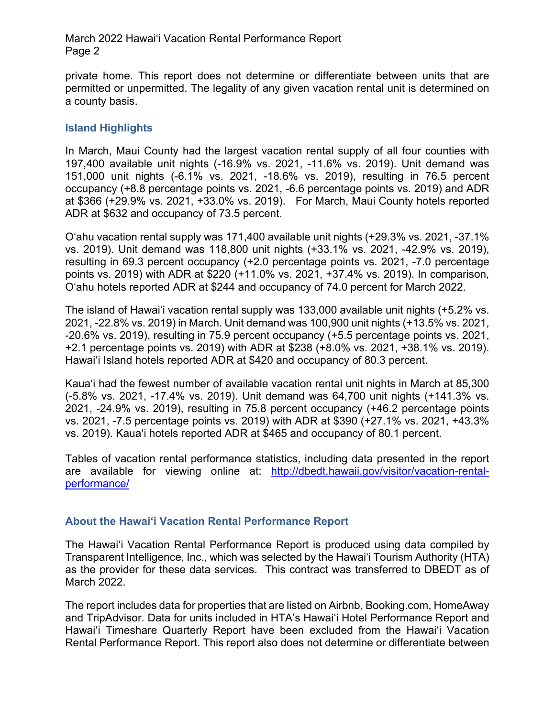March 2022 Hawai'i Vacation Rental Performance Report Page 2

private home. This report does not determine or differentiate between units that are permitted or unpermitted. The legality of any given vacation rental unit is determined on a county basis.

#### **Island Highlights**

In March, Maui County had the largest vacation rental supply of all four counties with 197,400 available unit nights (-16.9% vs. 2021, -11.6% vs. 2019). Unit demand was 151,000 unit nights (-6.1% vs. 2021, -18.6% vs. 2019), resulting in 76.5 percent occupancy (+8.8 percentage points vs. 2021, -6.6 percentage points vs. 2019) and ADR at \$366 (+29.9% vs. 2021, +33.0% vs. 2019). For March, Maui County hotels reported ADR at \$632 and occupancy of 73.5 percent.

O'ahu vacation rental supply was 171,400 available unit nights (+29.3% vs. 2021, -37.1% vs. 2019). Unit demand was 118,800 unit nights (+33.1% vs. 2021, -42.9% vs. 2019), resulting in 69.3 percent occupancy (+2.0 percentage points vs. 2021, -7.0 percentage points vs. 2019) with ADR at \$220 (+11.0% vs. 2021, +37.4% vs. 2019). In comparison, O'ahu hotels reported ADR at \$244 and occupancy of 74.0 percent for March 2022.

The island of Hawai'i vacation rental supply was 133,000 available unit nights (+5.2% vs. 2021, -22.8% vs. 2019) in March. Unit demand was 100,900 unit nights (+13.5% vs. 2021, -20.6% vs. 2019), resulting in 75.9 percent occupancy (+5.5 percentage points vs. 2021, +2.1 percentage points vs. 2019) with ADR at \$238 (+8.0% vs. 2021, +38.1% vs. 2019). Hawai'i Island hotels reported ADR at \$420 and occupancy of 80.3 percent.

Kaua'i had the fewest number of available vacation rental unit nights in March at 85,300 (-5.8% vs. 2021, -17.4% vs. 2019). Unit demand was 64,700 unit nights (+141.3% vs. 2021, -24.9% vs. 2019), resulting in 75.8 percent occupancy (+46.2 percentage points vs. 2021, -7.5 percentage points vs. 2019) with ADR at \$390 (+27.1% vs. 2021, +43.3% vs. 2019). Kaua'i hotels reported ADR at \$465 and occupancy of 80.1 percent.

Tables of vacation rental performance statistics, including data presented in the report are available for viewing online at: [http://dbedt.hawaii.gov/visitor/vacation-rental](http://dbedt.hawaii.gov/visitor/vacation-rental-performance/)[performance/](http://dbedt.hawaii.gov/visitor/vacation-rental-performance/)

#### **About the Hawai'i Vacation Rental Performance Report**

The Hawai'i Vacation Rental Performance Report is produced using data compiled by Transparent Intelligence, Inc., which was selected by the Hawai'i Tourism Authority (HTA) as the provider for these data services. This contract was transferred to DBEDT as of March 2022.

The report includes data for properties that are listed on Airbnb, Booking.com, HomeAway and TripAdvisor. Data for units included in HTA's Hawai'i Hotel Performance Report and Hawai'i Timeshare Quarterly Report have been excluded from the Hawai'i Vacation Rental Performance Report. This report also does not determine or differentiate between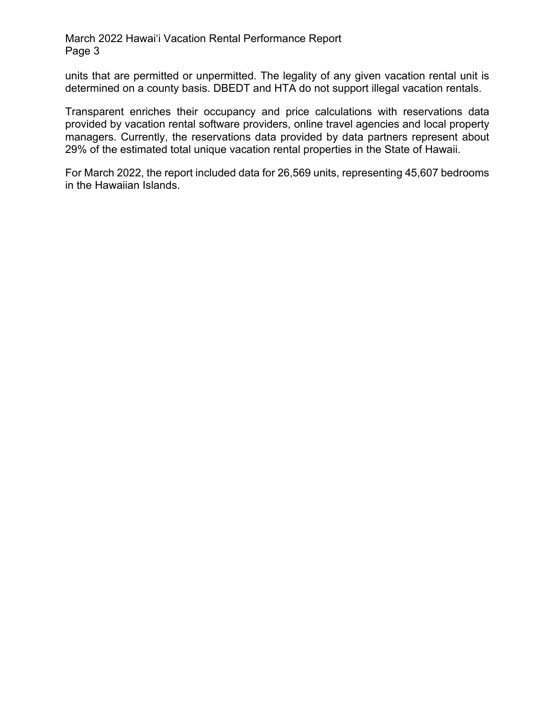#### March 2022 Hawai'i Vacation Rental Performance Report Page 3

units that are permitted or unpermitted. The legality of any given vacation rental unit is determined on a county basis. DBEDT and HTA do not support illegal vacation rentals.

Transparent enriches their occupancy and price calculations with reservations data provided by vacation rental software providers, online travel agencies and local property managers. Currently, the reservations data provided by data partners represent about 29% of the estimated total unique vacation rental properties in the State of Hawaii.

For March 2022, the report included data for 26,569 units, representing 45,607 bedrooms in the Hawaiian Islands.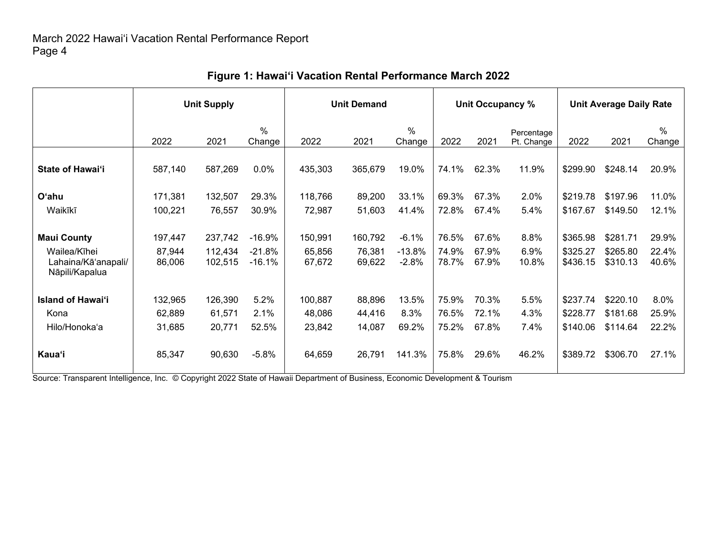|                                                                             | <b>Unit Supply</b>          |                               |                                  | <b>Unit Demand</b>          |                             |                                |                         | Unit Occupancy %        |                          | <b>Unit Average Daily Rate</b>   |                                  |                         |
|-----------------------------------------------------------------------------|-----------------------------|-------------------------------|----------------------------------|-----------------------------|-----------------------------|--------------------------------|-------------------------|-------------------------|--------------------------|----------------------------------|----------------------------------|-------------------------|
|                                                                             | 2022                        | 2021                          | $\%$<br>Change                   | 2022                        | 2021                        | $\%$<br>Change                 | 2022                    | 2021                    | Percentage<br>Pt. Change | 2022                             | 2021                             | $\%$<br>Change          |
| <b>State of Hawai'i</b>                                                     | 587,140                     | 587,269                       | 0.0%                             | 435,303                     | 365,679                     | 19.0%                          | 74.1%                   | 62.3%                   | 11.9%                    | \$299.90                         | \$248.14                         | 20.9%                   |
| O'ahu                                                                       | 171,381                     | 132,507                       | 29.3%                            | 118,766                     | 89,200                      | 33.1%                          | 69.3%                   | 67.3%                   | 2.0%                     | \$219.78                         | \$197.96                         | 11.0%                   |
| Waikīkī                                                                     | 100,221                     | 76,557                        | 30.9%                            | 72,987                      | 51,603                      | 41.4%                          | 72.8%                   | 67.4%                   | 5.4%                     | \$167.67                         | \$149.50                         | 12.1%                   |
| <b>Maui County</b><br>Wailea/Kīhei<br>Lahaina/Kā'anapali/<br>Nāpili/Kapalua | 197,447<br>87,944<br>86,006 | 237,742<br>112,434<br>102,515 | $-16.9%$<br>$-21.8%$<br>$-16.1%$ | 150,991<br>65,856<br>67,672 | 160,792<br>76,381<br>69,622 | $-6.1%$<br>$-13.8%$<br>$-2.8%$ | 76.5%<br>74.9%<br>78.7% | 67.6%<br>67.9%<br>67.9% | 8.8%<br>6.9%<br>10.8%    | \$365.98<br>\$325.27<br>\$436.15 | \$281.71<br>\$265.80<br>\$310.13 | 29.9%<br>22.4%<br>40.6% |
| <b>Island of Hawai'i</b><br>Kona<br>Hilo/Honoka'a                           | 132,965<br>62,889<br>31,685 | 126,390<br>61,571<br>20,771   | 5.2%<br>2.1%<br>52.5%            | 100,887<br>48,086<br>23,842 | 88,896<br>44,416<br>14,087  | 13.5%<br>8.3%<br>69.2%         | 75.9%<br>76.5%<br>75.2% | 70.3%<br>72.1%<br>67.8% | 5.5%<br>4.3%<br>7.4%     | \$237.74<br>\$228.77<br>\$140.06 | \$220.10<br>\$181.68<br>\$114.64 | 8.0%<br>25.9%<br>22.2%  |
| <b>Kaua'i</b>                                                               | 85,347                      | 90,630                        | $-5.8%$                          | 64,659                      | 26,791                      | 141.3%                         | 75.8%                   | 29.6%                   | 46.2%                    | \$389.72                         | \$306.70                         | 27.1%                   |

## **Figure 1: Hawai'i Vacation Rental Performance March 2022**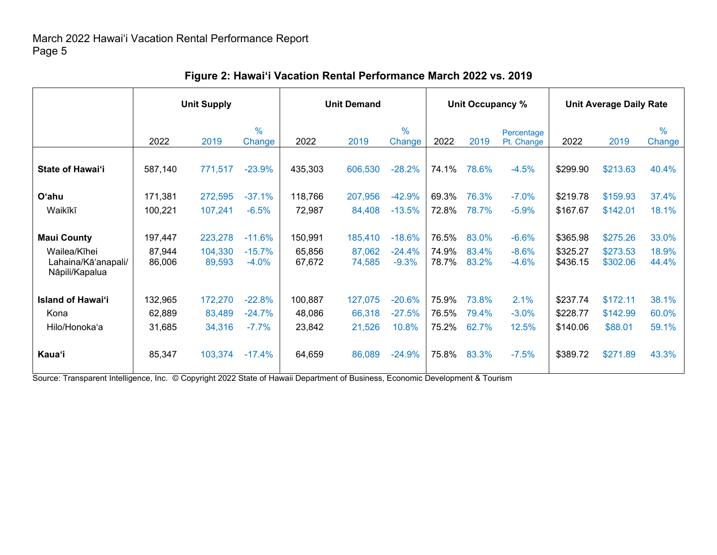|                                                       | <b>Unit Supply</b> |                   |                         | <b>Unit Demand</b> |                  |                         |                | Unit Occupancy % |                          | <b>Unit Average Daily Rate</b> |                      |                         |
|-------------------------------------------------------|--------------------|-------------------|-------------------------|--------------------|------------------|-------------------------|----------------|------------------|--------------------------|--------------------------------|----------------------|-------------------------|
|                                                       | 2022               | 2019              | $\frac{0}{0}$<br>Change | 2022               | 2019             | $\frac{0}{0}$<br>Change | 2022           | 2019             | Percentage<br>Pt. Change | 2022                           | 2019                 | $\frac{0}{0}$<br>Change |
| State of Hawai'i                                      | 587,140            | 771,517           | $-23.9%$                | 435,303            | 606,530          | $-28.2%$                | 74.1%          | 78.6%            | $-4.5%$                  | \$299.90                       | \$213.63             | 40.4%                   |
| <b>O'ahu</b>                                          | 171,381            | 272,595           | $-37.1%$                | 118,766            | 207,956          | $-42.9%$                | 69.3%          | 76.3%            | $-7.0%$                  | \$219.78                       | \$159.93             | 37.4%                   |
| Waikīkī                                               | 100,221            | 107,241           | $-6.5%$                 | 72,987             | 84,408           | $-13.5%$                | 72.8%          | 78.7%            | $-5.9\%$                 | \$167.67                       | \$142.01             | 18.1%                   |
| <b>Maui County</b>                                    | 197,447            | 223,278           | $-11.6%$                | 150,991            | 185,410          | $-18.6%$                | 76.5%          | 83.0%            | $-6.6%$                  | \$365.98                       | \$275.26             | 33.0%                   |
| Wailea/Kīhei<br>Lahaina/Kā'anapali/<br>Nāpili/Kapalua | 87,944<br>86,006   | 104,330<br>89,593 | $-15.7%$<br>$-4.0%$     | 65,856<br>67,672   | 87,062<br>74,585 | $-24.4%$<br>$-9.3%$     | 74.9%<br>78.7% | 83.4%<br>83.2%   | $-8.6%$<br>$-4.6%$       | \$325.27<br>\$436.15           | \$273.53<br>\$302.06 | 18.9%<br>44.4%          |
| <b>Island of Hawai'i</b>                              | 132,965            | 172,270           | $-22.8%$                | 100,887            | 127,075          | $-20.6%$                | 75.9%          | 73.8%            | 2.1%                     | \$237.74                       | \$172.11             | 38.1%                   |
| Kona                                                  | 62,889             | 83,489            | $-24.7%$                | 48,086             | 66,318           | $-27.5%$                | 76.5%          | 79.4%            | $-3.0%$                  | \$228.77                       | \$142.99             | 60.0%                   |
| Hilo/Honoka'a                                         | 31,685             | 34,316            | $-7.7%$                 | 23,842             | 21,526           | 10.8%                   | 75.2%          | 62.7%            | 12.5%                    | \$140.06                       | \$88.01              | 59.1%                   |
| <b>Kaua'i</b>                                         | 85,347             | 103,374           | $-17.4%$                | 64,659             | 86,089           | $-24.9%$                | 75.8%          | 83.3%            | $-7.5%$                  | \$389.72                       | \$271.89             | 43.3%                   |

## **Figure 2: Hawai'i Vacation Rental Performance March 2022 vs. 2019**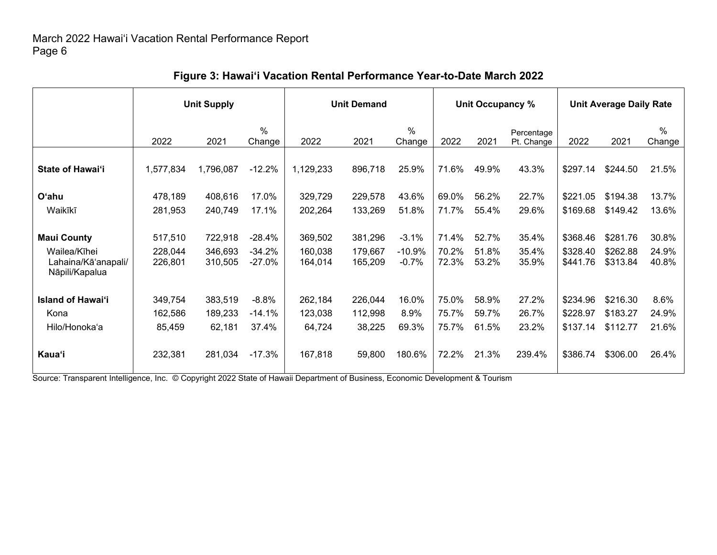|                                       | <b>Unit Supply</b> |                    |                      | <b>Unit Demand</b> |                    |                         |                | Unit Occupancy % |                          | <b>Unit Average Daily Rate</b> |                      |                |
|---------------------------------------|--------------------|--------------------|----------------------|--------------------|--------------------|-------------------------|----------------|------------------|--------------------------|--------------------------------|----------------------|----------------|
|                                       | 2022               | 2021               | $\%$<br>Change       | 2022               | 2021               | $\frac{0}{0}$<br>Change | 2022           | 2021             | Percentage<br>Pt. Change | 2022                           | 2021                 | $\%$<br>Change |
| <b>State of Hawai'i</b>               | 1,577,834          | 1,796,087          | $-12.2%$             | 1,129,233          | 896,718            | 25.9%                   | 71.6%          | 49.9%            | 43.3%                    | \$297.14                       | \$244.50             | 21.5%          |
| O'ahu                                 | 478,189            | 408,616            | 17.0%                | 329,729            | 229,578            | 43.6%                   | 69.0%          | 56.2%            | 22.7%                    | \$221.05                       | \$194.38             | 13.7%          |
| Waikīkī                               | 281,953            | 240,749            | 17.1%                | 202,264            | 133,269            | 51.8%                   | 71.7%          | 55.4%            | 29.6%                    | \$169.68                       | \$149.42             | 13.6%          |
| <b>Maui County</b><br>Wailea/Kīhei    | 517,510<br>228,044 | 722,918<br>346,693 | $-28.4%$<br>$-34.2%$ | 369,502<br>160,038 | 381,296<br>179,667 | $-3.1%$<br>$-10.9%$     | 71.4%<br>70.2% | 52.7%<br>51.8%   | 35.4%<br>35.4%           | \$368.46<br>\$328.40           | \$281.76<br>\$262.88 | 30.8%<br>24.9% |
| Lahaina/Kā'anapali/<br>Nāpili/Kapalua | 226,801            | 310,505            | $-27.0%$             | 164,014            | 165,209            | $-0.7%$                 | 72.3%          | 53.2%            | 35.9%                    | \$441.76                       | \$313.84             | 40.8%          |
| <b>Island of Hawai'i</b>              | 349,754            | 383,519            | $-8.8%$              | 262,184            | 226,044            | 16.0%                   | 75.0%          | 58.9%            | 27.2%                    | \$234.96                       | \$216.30             | 8.6%           |
| Kona                                  | 162,586            | 189,233            | $-14.1%$             | 123,038            | 112,998            | 8.9%                    | 75.7%          | 59.7%            | 26.7%                    | \$228.97                       | \$183.27             | 24.9%          |
| Hilo/Honoka'a                         | 85,459             | 62,181             | 37.4%                | 64,724             | 38,225             | 69.3%                   | 75.7%          | 61.5%            | 23.2%                    | \$137.14                       | \$112.77             | 21.6%          |
| <b>Kaua'i</b>                         | 232,381            | 281,034            | $-17.3%$             | 167,818            | 59,800             | 180.6%                  | 72.2%          | 21.3%            | 239.4%                   | \$386.74                       | \$306.00             | 26.4%          |

## **Figure 3: Hawai'i Vacation Rental Performance Year-to-Date March 2022**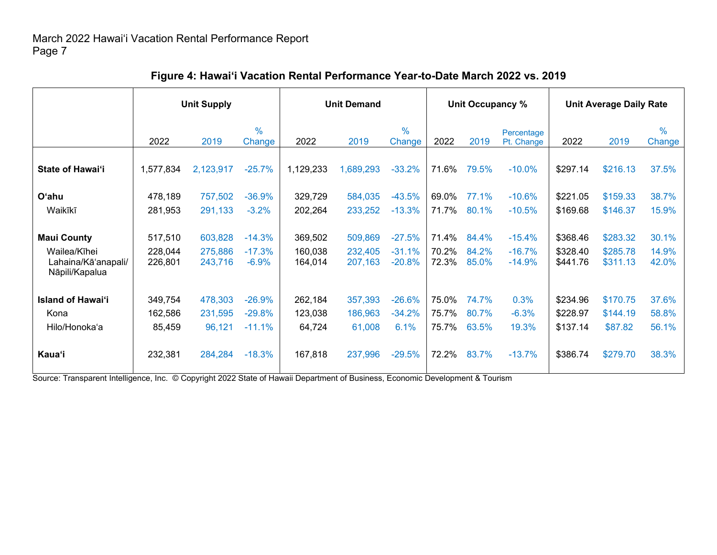|                                                       | <b>Unit Supply</b> |                    |                         | <b>Unit Demand</b> |                    |                         |                | Unit Occupancy % |                          | <b>Unit Average Daily Rate</b> |                      |                         |
|-------------------------------------------------------|--------------------|--------------------|-------------------------|--------------------|--------------------|-------------------------|----------------|------------------|--------------------------|--------------------------------|----------------------|-------------------------|
|                                                       | 2022               | 2019               | $\frac{0}{0}$<br>Change | 2022               | 2019               | $\frac{0}{0}$<br>Change | 2022           | 2019             | Percentage<br>Pt. Change | 2022                           | 2019                 | $\frac{0}{0}$<br>Change |
| <b>State of Hawai'i</b>                               | 1,577,834          | 2,123,917          | $-25.7%$                | 1,129,233          | 1,689,293          | $-33.2%$                | 71.6%          | 79.5%            | $-10.0%$                 | \$297.14                       | \$216.13             | 37.5%                   |
| O'ahu<br>Waikīkī                                      | 478,189<br>281,953 | 757,502<br>291,133 | $-36.9%$<br>$-3.2%$     | 329,729<br>202,264 | 584,035<br>233,252 | $-43.5%$<br>$-13.3%$    | 69.0%<br>71.7% | 77.1%<br>80.1%   | $-10.6%$<br>$-10.5%$     | \$221.05<br>\$169.68           | \$159.33<br>\$146.37 | 38.7%<br>15.9%          |
| <b>Maui County</b>                                    | 517,510            | 603,828            | $-14.3%$                | 369,502            | 509,869            | $-27.5%$                | 71.4%          | 84.4%            | $-15.4%$                 | \$368.46                       | \$283.32             | 30.1%                   |
| Wailea/Kīhei<br>Lahaina/Kā'anapali/<br>Nāpili/Kapalua | 228,044<br>226,801 | 275,886<br>243,716 | $-17.3%$<br>$-6.9%$     | 160,038<br>164,014 | 232,405<br>207,163 | $-31.1%$<br>$-20.8%$    | 70.2%<br>72.3% | 84.2%<br>85.0%   | $-16.7%$<br>$-14.9%$     | \$328.40<br>\$441.76           | \$285.78<br>\$311.13 | 14.9%<br>42.0%          |
| <b>Island of Hawai'i</b>                              | 349,754            | 478,303            | $-26.9%$                | 262,184            | 357,393            | $-26.6%$                | 75.0%          | 74.7%            | 0.3%                     | \$234.96                       | \$170.75             | 37.6%                   |
| Kona<br>Hilo/Honoka'a                                 | 162,586<br>85,459  | 231,595<br>96,121  | $-29.8%$<br>$-11.1%$    | 123,038<br>64,724  | 186,963<br>61,008  | $-34.2%$<br>6.1%        | 75.7%<br>75.7% | 80.7%<br>63.5%   | $-6.3%$<br>19.3%         | \$228.97<br>\$137.14           | \$144.19<br>\$87.82  | 58.8%<br>56.1%          |
| <b>Kaua</b> 'i                                        | 232,381            | 284,284            | $-18.3%$                | 167,818            | 237,996            | $-29.5%$                | 72.2%          | 83.7%            | $-13.7%$                 | \$386.74                       | \$279.70             | 38.3%                   |

## **Figure 4: Hawai'i Vacation Rental Performance Year-to-Date March 2022 vs. 2019**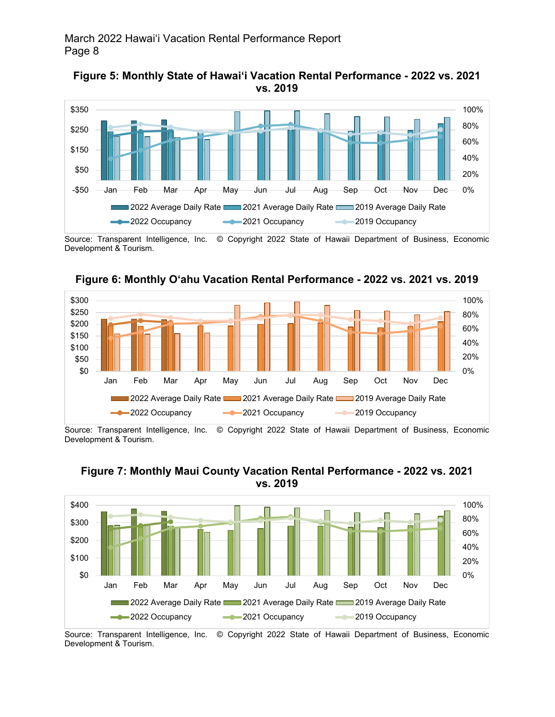



Source: Transparent Intelligence, Inc. © Copyright 2022 State of Hawaii Department of Business, Economic Development & Tourism.



**Figure 6: Monthly O'ahu Vacation Rental Performance - 2022 vs. 2021 vs. 2019**

Source: Transparent Intelligence, Inc. © Copyright 2022 State of Hawaii Department of Business, Economic Development & Tourism.



#### **Figure 7: Monthly Maui County Vacation Rental Performance - 2022 vs. 2021 vs. 2019**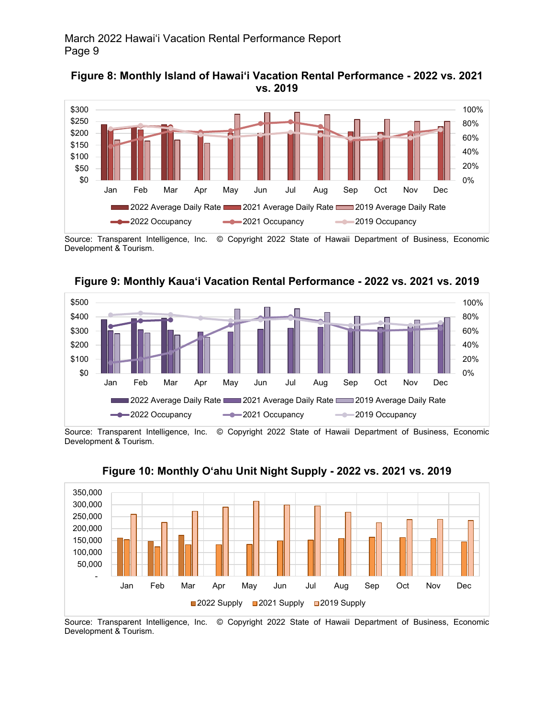



Source: Transparent Intelligence, Inc. © Copyright 2022 State of Hawaii Department of Business, Economic Development & Tourism.



**Figure 9: Monthly Kaua'i Vacation Rental Performance - 2022 vs. 2021 vs. 2019**

Source: Transparent Intelligence, Inc. © Copyright 2022 State of Hawaii Department of Business, Economic Development & Tourism.